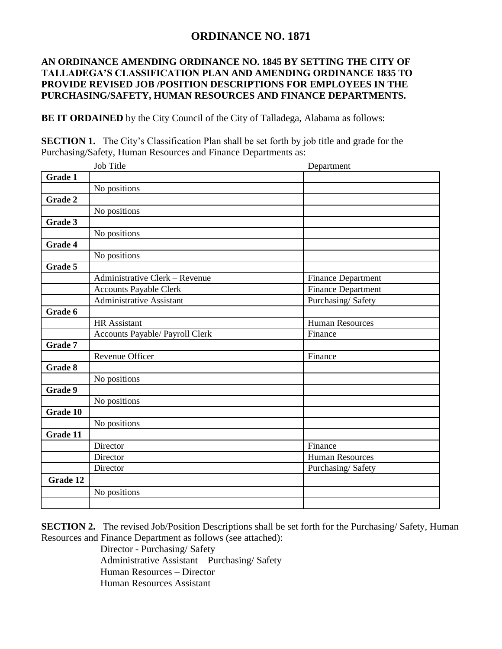## **ORDINANCE NO. 1871**

## **AN ORDINANCE AMENDING ORDINANCE NO. 1845 BY SETTING THE CITY OF TALLADEGA'S CLASSIFICATION PLAN AND AMENDING ORDINANCE 1835 TO PROVIDE REVISED JOB /POSITION DESCRIPTIONS FOR EMPLOYEES IN THE PURCHASING/SAFETY, HUMAN RESOURCES AND FINANCE DEPARTMENTS.**

**BE IT ORDAINED** by the City Council of the City of Talladega, Alabama as follows:

**SECTION 1.** The City's Classification Plan shall be set forth by job title and grade for the Purchasing/Safety, Human Resources and Finance Departments as:

|                | Job Title                       | Department                |
|----------------|---------------------------------|---------------------------|
| <b>Grade 1</b> |                                 |                           |
|                | No positions                    |                           |
| <b>Grade 2</b> |                                 |                           |
|                | No positions                    |                           |
| Grade 3        |                                 |                           |
|                | No positions                    |                           |
| Grade 4        |                                 |                           |
|                | No positions                    |                           |
| Grade 5        |                                 |                           |
|                | Administrative Clerk - Revenue  | <b>Finance Department</b> |
|                | <b>Accounts Payable Clerk</b>   | <b>Finance Department</b> |
|                | Administrative Assistant        | Purchasing/Safety         |
| Grade 6        |                                 |                           |
|                | <b>HR</b> Assistant             | <b>Human Resources</b>    |
|                | Accounts Payable/ Payroll Clerk | Finance                   |
| Grade 7        |                                 |                           |
|                | Revenue Officer                 | Finance                   |
| Grade 8        |                                 |                           |
|                | No positions                    |                           |
| Grade 9        |                                 |                           |
|                | No positions                    |                           |
| Grade 10       |                                 |                           |
|                | No positions                    |                           |
| Grade $11$     |                                 |                           |
|                | Director                        | Finance                   |
|                | Director                        | <b>Human Resources</b>    |
|                | Director                        | Purchasing/Safety         |
| Grade 12       |                                 |                           |
|                | No positions                    |                           |
|                |                                 |                           |

**SECTION 2.** The revised Job/Position Descriptions shall be set forth for the Purchasing/ Safety, Human Resources and Finance Department as follows (see attached):

Director - Purchasing/ Safety Administrative Assistant – Purchasing/ Safety Human Resources – Director Human Resources Assistant